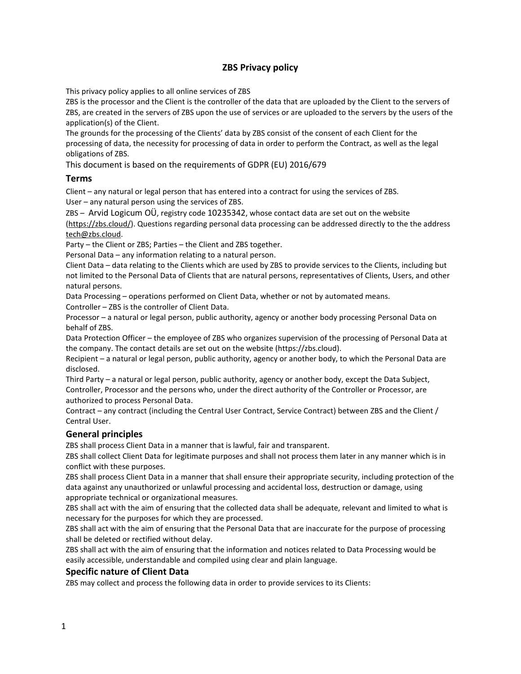# **ZBS Privacy policy**

This privacy policy applies to all online services of ZBS

ZBS is the processor and the Client is the controller of the data that are uploaded by the Client to the servers of ZBS, are created in the servers of ZBS upon the use of services or are uploaded to the servers by the users of the application(s) of the Client.

The grounds for the processing of the Clients' data by ZBS consist of the consent of each Client for the processing of data, the necessity for processing of data in order to perform the Contract, as well as the legal obligations of ZBS.

This document is based on the requirements of GDPR (EU) 2016/679

# **Terms**

Client – any natural or legal person that has entered into a contract for using the services of ZBS.

User – any natural person using the services of ZBS.

ZBS – Arvid Logicum OÜ, registry code 10235342, whose contact data are set out on the website [\(https://zbs.cloud/\)](https://zbs.cloud/). Questions regarding personal data processing can be addressed directly to the the address [tech@zbs.cloud.](mailto:tech@zbs.cloud)

Party – the Client or ZBS; Parties – the Client and ZBS together.

Personal Data – any information relating to a natural person.

Client Data – data relating to the Clients which are used by ZBS to provide services to the Clients, including but not limited to the Personal Data of Clients that are natural persons, representatives of Clients, Users, and other natural persons.

Data Processing – operations performed on Client Data, whether or not by automated means.

Controller – ZBS is the controller of Client Data.

Processor – a natural or legal person, public authority, agency or another body processing Personal Data on behalf of ZBS.

Data Protection Officer – the employee of ZBS who organizes supervision of the processing of Personal Data at the company. The contact details are set out on the website (https://zbs.cloud).

Recipient – a natural or legal person, public authority, agency or another body, to which the Personal Data are disclosed.

Third Party – a natural or legal person, public authority, agency or another body, except the Data Subject, Controller, Processor and the persons who, under the direct authority of the Controller or Processor, are authorized to process Personal Data.

Contract – any contract (including the Central User Contract, Service Contract) between ZBS and the Client / Central User.

# **General principles**

ZBS shall process Client Data in a manner that is lawful, fair and transparent.

ZBS shall collect Client Data for legitimate purposes and shall not process them later in any manner which is in conflict with these purposes.

ZBS shall process Client Data in a manner that shall ensure their appropriate security, including protection of the data against any unauthorized or unlawful processing and accidental loss, destruction or damage, using appropriate technical or organizational measures.

ZBS shall act with the aim of ensuring that the collected data shall be adequate, relevant and limited to what is necessary for the purposes for which they are processed.

ZBS shall act with the aim of ensuring that the Personal Data that are inaccurate for the purpose of processing shall be deleted or rectified without delay.

ZBS shall act with the aim of ensuring that the information and notices related to Data Processing would be easily accessible, understandable and compiled using clear and plain language.

# **Specific nature of Client Data**

ZBS may collect and process the following data in order to provide services to its Clients: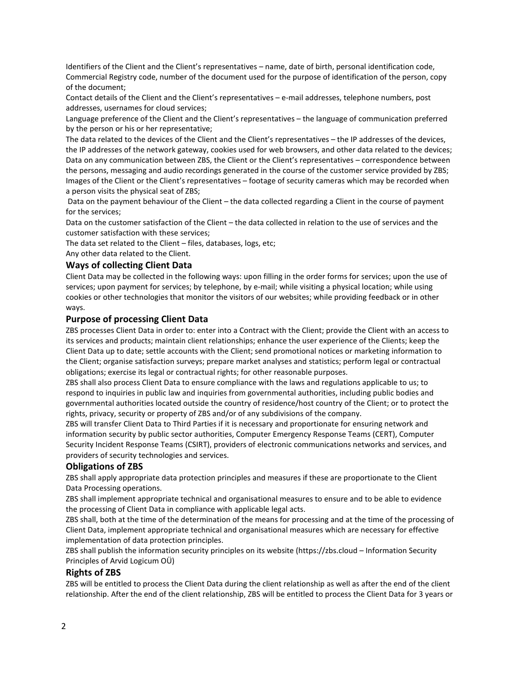Identifiers of the Client and the Client's representatives – name, date of birth, personal identification code, Commercial Registry code, number of the document used for the purpose of identification of the person, copy of the document;

Contact details of the Client and the Client's representatives – e-mail addresses, telephone numbers, post addresses, usernames for cloud services;

Language preference of the Client and the Client's representatives – the language of communication preferred by the person or his or her representative;

The data related to the devices of the Client and the Client's representatives – the IP addresses of the devices, the IP addresses of the network gateway, cookies used for web browsers, and other data related to the devices; Data on any communication between ZBS, the Client or the Client's representatives – correspondence between the persons, messaging and audio recordings generated in the course of the customer service provided by ZBS; Images of the Client or the Client's representatives – footage of security cameras which may be recorded when a person visits the physical seat of ZBS;

Data on the payment behaviour of the Client – the data collected regarding a Client in the course of payment for the services;

Data on the customer satisfaction of the Client – the data collected in relation to the use of services and the customer satisfaction with these services;

The data set related to the Client – files, databases, logs, etc;

Any other data related to the Client.

#### **Ways of collecting Client Data**

Client Data may be collected in the following ways: upon filling in the order forms for services; upon the use of services; upon payment for services; by telephone, by e-mail; while visiting a physical location; while using cookies or other technologies that monitor the visitors of our websites; while providing feedback or in other ways.

#### **Purpose of processing Client Data**

ZBS processes Client Data in order to: enter into a Contract with the Client; provide the Client with an access to its services and products; maintain client relationships; enhance the user experience of the Clients; keep the Client Data up to date; settle accounts with the Client; send promotional notices or marketing information to the Client; organise satisfaction surveys; prepare market analyses and statistics; perform legal or contractual obligations; exercise its legal or contractual rights; for other reasonable purposes.

ZBS shall also process Client Data to ensure compliance with the laws and regulations applicable to us; to respond to inquiries in public law and inquiries from governmental authorities, including public bodies and governmental authorities located outside the country of residence/host country of the Client; or to protect the rights, privacy, security or property of ZBS and/or of any subdivisions of the company.

ZBS will transfer Client Data to Third Parties if it is necessary and proportionate for ensuring network and information security by public sector authorities, Computer Emergency Response Teams (CERT), Computer Security Incident Response Teams (CSIRT), providers of electronic communications networks and services, and providers of security technologies and services.

### **Obligations of ZBS**

ZBS shall apply appropriate data protection principles and measures if these are proportionate to the Client Data Processing operations.

ZBS shall implement appropriate technical and organisational measures to ensure and to be able to evidence the processing of Client Data in compliance with applicable legal acts.

ZBS shall, both at the time of the determination of the means for processing and at the time of the processing of Client Data, implement appropriate technical and organisational measures which are necessary for effective implementation of data protection principles.

ZBS shall publish the information security principles on its website (https://zbs.cloud – Information Security Principles of Arvid Logicum OÜ)

### **Rights of ZBS**

ZBS will be entitled to process the Client Data during the client relationship as well as after the end of the client relationship. After the end of the client relationship, ZBS will be entitled to process the Client Data for 3 years or